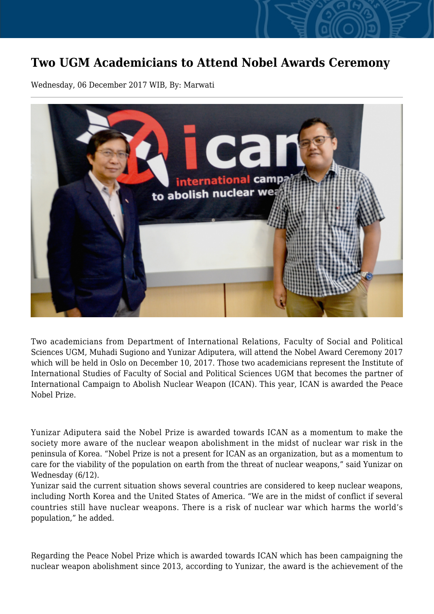## **Two UGM Academicians to Attend Nobel Awards Ceremony**

Wednesday, 06 December 2017 WIB, By: Marwati



Two academicians from Department of International Relations, Faculty of Social and Political Sciences UGM, Muhadi Sugiono and Yunizar Adiputera, will attend the Nobel Award Ceremony 2017 which will be held in Oslo on December 10, 2017. Those two academicians represent the Institute of International Studies of Faculty of Social and Political Sciences UGM that becomes the partner of International Campaign to Abolish Nuclear Weapon (ICAN). This year, ICAN is awarded the Peace Nobel Prize.

Yunizar Adiputera said the Nobel Prize is awarded towards ICAN as a momentum to make the society more aware of the nuclear weapon abolishment in the midst of nuclear war risk in the peninsula of Korea. "Nobel Prize is not a present for ICAN as an organization, but as a momentum to care for the viability of the population on earth from the threat of nuclear weapons," said Yunizar on Wednesday (6/12).

Yunizar said the current situation shows several countries are considered to keep nuclear weapons, including North Korea and the United States of America. "We are in the midst of conflict if several countries still have nuclear weapons. There is a risk of nuclear war which harms the world's population," he added.

Regarding the Peace Nobel Prize which is awarded towards ICAN which has been campaigning the nuclear weapon abolishment since 2013, according to Yunizar, the award is the achievement of the